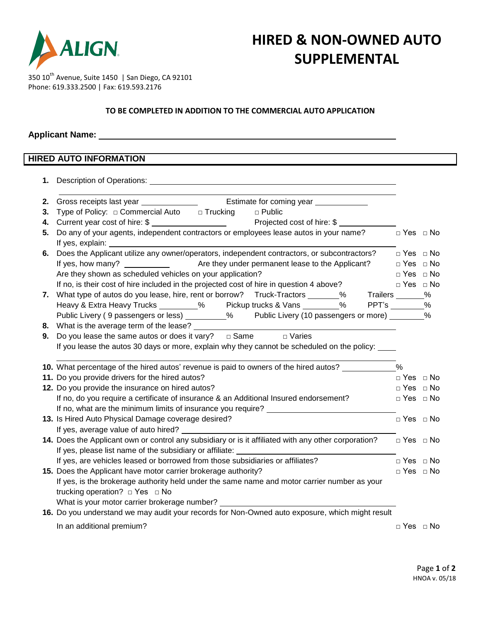

# **HIRED & NON-OWNED AUTO SUPPLEMENTAL**

350 10<sup>th</sup> Avenue, Suite 1450 | San Diego, CA 92101 Phone: 619.333.2500 | Fax: 619.593.2176

#### **TO BE COMPLETED IN ADDITION TO THE COMMERCIAL AUTO APPLICATION**

### **Applicant Name:**

## **HIRED AUTO INFORMATION**

| 2. |                                                                                                                                                                                     |                      |  |
|----|-------------------------------------------------------------------------------------------------------------------------------------------------------------------------------------|----------------------|--|
| 3. | Type of Policy: $\Box$ Commercial Auto $\Box$ Trucking<br>$\Box$ Public                                                                                                             |                      |  |
| 4. |                                                                                                                                                                                     |                      |  |
| 5. | Do any of your agents, independent contractors or employees lease autos in your name?<br>$\square$ Yes $\square$ No                                                                 |                      |  |
|    |                                                                                                                                                                                     |                      |  |
|    | 6. Does the Applicant utilize any owner/operators, independent contractors, or subcontractors? $\Box$ Yes $\Box$ No                                                                 |                      |  |
|    |                                                                                                                                                                                     | $\Box$ Yes $\Box$ No |  |
|    | Are they shown as scheduled vehicles on your application?                                                                                                                           | $\Box$ Yes $\Box$ No |  |
|    | If no, is their cost of hire included in the projected cost of hire in question 4 above?                                                                                            | $\Box$ Yes $\Box$ No |  |
|    | 7. What type of autos do you lease, hire, rent or borrow? Truck-Tractors ______% Trailers ______% Heavy & Extra Heavy Trucks ________% Pickup trucks & Vans _______% PPT's _______% |                      |  |
|    |                                                                                                                                                                                     |                      |  |
|    | Public Livery (9 passengers or less) _________% Public Livery (10 passengers or more) ________%                                                                                     |                      |  |
|    | 8. What is the average term of the lease? ____________                                                                                                                              |                      |  |
| 9. | Do you lease the same autos or does it vary? $\Box$ Same $\Box$ Varies                                                                                                              |                      |  |
|    | If you lease the autos 30 days or more, explain why they cannot be scheduled on the policy: ____                                                                                    |                      |  |
|    | 10. What percentage of the hired autos' revenue is paid to owners of the hired autos? _____________                                                                                 | $\frac{0}{0}$        |  |
|    | 11. Do you provide drivers for the hired autos?                                                                                                                                     | $\Box$ Yes $\Box$ No |  |
|    | 12. Do you provide the insurance on hired autos?                                                                                                                                    | $\Box$ Yes $\Box$ No |  |
|    | If no, do you require a certificate of insurance & an Additional Insured endorsement?                                                                                               | $\Box$ Yes $\Box$ No |  |
|    |                                                                                                                                                                                     |                      |  |
|    | 13. Is Hired Auto Physical Damage coverage desired?                                                                                                                                 | $\Box$ Yes $\Box$ No |  |
|    | If yes, average value of auto hired?                                                                                                                                                |                      |  |
|    | 14. Does the Applicant own or control any subsidiary or is it affiliated with any other corporation? $\Box$ Yes $\Box$ No                                                           |                      |  |
|    |                                                                                                                                                                                     |                      |  |
|    | If yes, are vehicles leased or borrowed from those subsidiaries or affiliates?                                                                                                      | $\Box$ Yes $\Box$ No |  |
|    | 15. Does the Applicant have motor carrier brokerage authority?                                                                                                                      | $\Box$ Yes $\Box$ No |  |
|    | If yes, is the brokerage authority held under the same name and motor carrier number as your                                                                                        |                      |  |
|    | trucking operation? $\Box$ Yes $\Box$ No                                                                                                                                            |                      |  |
|    | What is your motor carrier brokerage number? ___________________________________                                                                                                    |                      |  |
|    | 16. Do you understand we may audit your records for Non-Owned auto exposure, which might result                                                                                     |                      |  |
|    | In an additional premium?                                                                                                                                                           | $\Box$ Yes $\Box$ No |  |